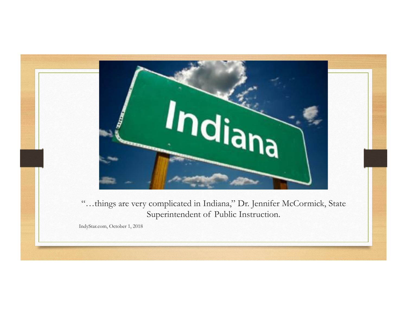

"…things are very complicated in Indiana," Dr. Jennifer McCormick, State Superintendent of Public Instruction.

IndyStar.com, October 1, 2018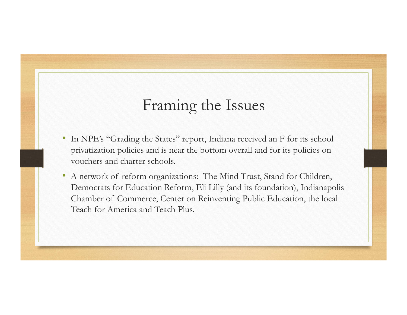#### Framing the Issues

- In NPE's "Grading the States" report, Indiana received an F for its school privatization policies and is near the bottom overall and for its policies on vouchers and charter schools.
- A network of reform organizations: The Mind Trust, Stand for Children, Democrats for Education Reform, Eli Lilly (and its foundation), Indianapolis Chamber of Commerce, Center on Reinventing Public Education, the local Teach for America and Teach Plus.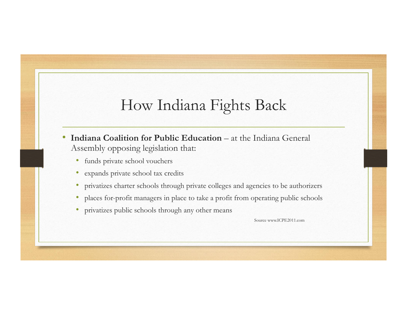# How Indiana Fights Back

- **Indiana Coalition for Public Education** at the Indiana General Assembly opposing legislation that:
	- funds private school vouchers
	- expands private school tax credits
	- privatizes charter schools through private colleges and agencies to be authorizers
	- places for-profit managers in place to take a profit from operating public schools
	- privatizes public schools through any other means

Source www.ICPE2011.com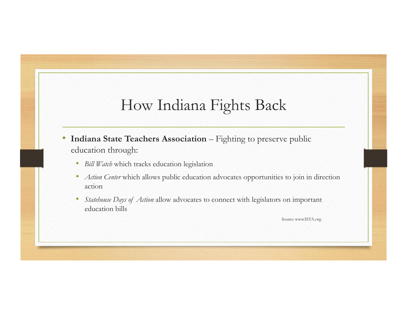# How Indiana Fights Back

- Indiana State Teachers Association Fighting to preserve public education through:
	- *Bill Watch* which tracks education legislation
	- *Action Center* which allows public education advocates opportunities to join in direction action
	- *Statehouse Days of Action* allow advocates to connect with legislators on important education bills

Source www.ISTA.org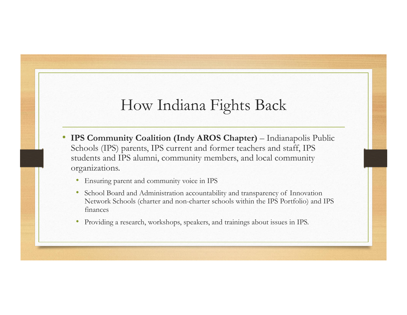# How Indiana Fights Back

- **IPS Community Coalition (Indy AROS Chapter)** Indianapolis Public Schools (IPS) parents, IPS current and former teachers and staff, IPS students and IPS alumni, community members, and local community organizations.
	- Ensuring parent and community voice in IPS
	- School Board and Administration accountability and transparency of Innovation Network Schools (charter and non-charter schools within the IPS Portfolio) and IPS finances
	- Providing a research, workshops, speakers, and trainings about issues in IPS.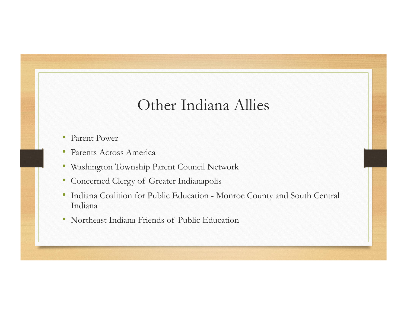#### Other Indiana Allies

- Parent Power
- Parents Across America
- Washington Township Parent Council Network
- Concerned Clergy of Greater Indianapolis
- Indiana Coalition for Public Education Monroe County and South Central Indiana
- Northeast Indiana Friends of Public Education